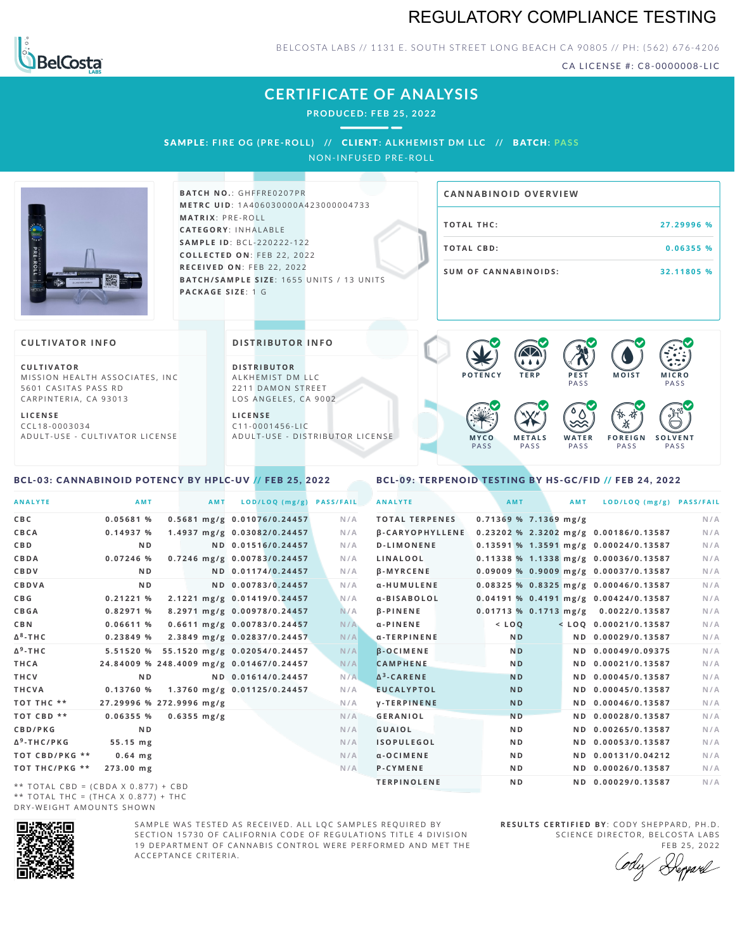## REGULATORY COMPLIANCE TESTING



BELCOSTA LABS // 1131 E. SOUTH STREET LONG BEACH CA 90805 // PH: (562) 676-4206

CA LICENSE #: C8-0000008-LIC

# **CERTIFICATE OF ANALYSIS**

**PRODUCED: F EB 25, 2022**

 $-$ 

SAMPLE: FIRE OG (PRE-ROLL) // CLIENT: ALKHEMIST DM LLC // BATCH: PASS NON-INFUSED PRE-ROLL

|                                                                                                       | <b>BATCH NO.: GHFFRE0207PR</b><br><b>METRC UID: 1A406030000A423000004733</b>                      | <b>CANNABINOID OVERVIEW</b>                                        |                      |
|-------------------------------------------------------------------------------------------------------|---------------------------------------------------------------------------------------------------|--------------------------------------------------------------------|----------------------|
|                                                                                                       | <b>MATRIX: PRE-ROLL</b><br><b>CATEGORY: INHALABLE</b>                                             | <b>TOTAL THC:</b>                                                  | 27.29996 %           |
| PRE-ROLL                                                                                              | <b>SAMPLE ID: BCL-220222-122</b><br>COLLECTED ON: FEB 22, 2022                                    | <b>TOTAL CBD:</b>                                                  | 0.06355 %            |
| 翠三                                                                                                    | RECEIVED ON: FEB 22, 2022<br>BATCH/SAMPLE SIZE: 1655 UNITS / 13 UNITS<br><b>PACKAGE SIZE: 1 G</b> | <b>SUM OF CANNABINOIDS:</b>                                        | 32.11805 %           |
| <b>CULTIVATOR INFO</b>                                                                                | <b>DISTRIBUTOR INFO</b>                                                                           | <b>AD</b>                                                          |                      |
| <b>CULTIVATOR</b><br>MISSION HEALTH ASSOCIATES, INC.<br>5601 CASITAS PASS RD<br>CARPINTERIA, CA 93013 | <b>DISTRIBUTOR</b><br>ALKHEMIST DM LLC<br>2211 DAMON STREET<br>LOS ANGELES, CA 9002               | .<br><b>POTENCY</b><br><b>TERP</b><br><b>MOIST</b><br>PEST<br>PASS | <b>MICRO</b><br>PASS |

**L I C E N S E** C C L 1 8 - 0 0 0 3 0 3 4 A D U L T - U S E - C U L T I V A T O R L I C E N S E LOS ANGELES, CA 9002

**L I C E N S E** C 1 1 - 0 0 0 1 4 5 6 - L I C A D U L T - U S E - D I STRI B U T O R LICENSE

### <span id="page-0-0"></span>BCL-03: CANNABINOID POTENCY BY HPLC-UV // FEB 25, 2022

<span id="page-0-1"></span>BCL-09: TERPENOID TESTING BY HS-GC/FID // FEB 24, 2022

**M E T A L S** PA S S

**W A T E R** PA S S

 $\bullet$  0.0 0.0 0.0

**F O R E I G N** PA S S

ж

**S O L V E N T PASS** 

**M Y C O** PA S S

| <b>ANALYTE</b>                        | AMT            |                                          | <b>AMT</b> | LOD/LOQ (mg/g)              | <b>PASS/FAIL</b> | <b>ANALYTE</b>         |           | AMT                     | AMT | LOD/LOQ (mg/g) PASS/FAIL                  |     |
|---------------------------------------|----------------|------------------------------------------|------------|-----------------------------|------------------|------------------------|-----------|-------------------------|-----|-------------------------------------------|-----|
| C B C                                 | 0.05681 %      |                                          |            | 0.5681 mg/g 0.01076/0.24457 | N/A              | <b>TOTAL TERPENES</b>  |           | $0.71369$ % 7.1369 mg/g |     |                                           | N/A |
| CBCA                                  | 0.14937%       |                                          |            | 1.4937 mg/g 0.03082/0.24457 | N/A              | <b>B-CARYOPHYLLENE</b> |           |                         |     | 0.23202 % 2.3202 mg/g 0.00186/0.13587     | N/A |
| C B D                                 | N <sub>D</sub> |                                          |            | ND 0.01516/0.24457          | N/A              | <b>D-LIMONENE</b>      |           |                         |     | $0.13591$ % 1.3591 mg/g $0.00024/0.13587$ | N/A |
| CBDA                                  | $0.07246$ %    |                                          |            | 0.7246 mg/g 0.00783/0.24457 | N/A              | LINALOOL               |           |                         |     | 0.11338 % 1.1338 mg/g 0.00036/0.13587     | N/A |
| CBDV                                  | N <sub>D</sub> |                                          |            | ND 0.01174/0.24457          | N/A              | <b>B-MYRCENE</b>       |           |                         |     | 0.09009 % 0.9009 mg/g 0.00037/0.13587     | N/A |
| CBDVA                                 | N <sub>D</sub> |                                          |            | ND 0.00783/0.24457          | N/A              | α-HUMULENE             |           |                         |     | 0.08325 % 0.8325 mg/g 0.00046/0.13587     | N/A |
| C B G                                 | 0.21221%       |                                          |            | 2.1221 mg/g 0.01419/0.24457 | N/A              | a-BISABOLOL            |           |                         |     | 0.04191 % 0.4191 mg/g 0.00424/0.13587     | N/A |
| CBGA                                  | 0.82971 %      |                                          |            | 8.2971 mg/g 0.00978/0.24457 | N/A              | <b>B-PINENE</b>        |           |                         |     | 0.01713 % 0.1713 mg/g 0.0022/0.13587      | N/A |
| C B N                                 | 0.06611%       |                                          |            | 0.6611 mg/g 0.00783/0.24457 | N/A              | $\alpha$ -PINENE       | $<$ $LOQ$ |                         |     | $<$ LOQ 0.00021/0.13587                   | N/A |
| Δ <sup>8</sup> -ΤΗC                   | 0.23849%       |                                          |            | 2.3849 mg/g 0.02837/0.24457 | N/A              | α-TERPINENE            |           | N <sub>D</sub>          |     | ND 0.00029/0.13587                        | N/A |
| Δ <sup>9</sup> -ΤΗ C                  | 5.51520 %      | 55.1520 mg/g 0.02054/0.24457             |            |                             | N/A              | <b>B-OCIMENE</b>       |           | N <sub>D</sub>          |     | ND 0.00049/0.09375                        | N/A |
| THCA                                  |                | 24.84009 % 248.4009 mg/g 0.01467/0.24457 |            |                             | N/A              | <b>CAMPHENE</b>        |           | N <sub>D</sub>          |     | ND 0.00021/0.13587                        | N/A |
| THCV                                  | N <sub>D</sub> |                                          |            | ND 0.01614/0.24457          | N/A              | $\Delta^3$ -CARENE     |           | <b>ND</b>               |     | ND 0.00045/0.13587                        | N/A |
| THCVA                                 | 0.13760%       |                                          |            | 1.3760 mg/g 0.01125/0.24457 | N/A              | <b>EUCALYPTOL</b>      |           | <b>ND</b>               |     | ND 0.00045/0.13587                        | N/A |
| тот тнс **                            |                | 27.29996 % 272.9996 mg/g                 |            |                             | N/A              | <b>V-TERPINENE</b>     |           | <b>ND</b>               |     | ND 0.00046/0.13587                        | N/A |
| ТОТ СВD **                            | 0.06355%       | $0.6355 \text{ mg/g}$                    |            |                             | N/A              | GERANIOL               |           | <b>ND</b>               |     | ND 0.00028/0.13587                        | N/A |
| CBD/PKG                               | N <sub>D</sub> |                                          |            |                             | N/A              | <b>GUAIOL</b>          |           | ND.                     |     | ND 0.00265/0.13587                        | N/A |
| Δ <sup>9</sup> -THC/PKG               | 55.15 mg       |                                          |            |                             | N/A              | <b>ISOPULEGOL</b>      |           | ND.                     |     | ND 0.00053/0.13587                        | N/A |
| ТОТ СВD/РКG **                        | $0.64$ mg      |                                          |            |                             | N/A              | $\alpha$ -OCIMENE      |           | ND.                     |     | ND 0.00131/0.04212                        | N/A |
| ТОТ ТНС/РКG **                        | 273.00 mg      |                                          |            |                             | N/A              | <b>P-CYMENE</b>        |           | ND.                     |     | ND 0.00026/0.13587                        | N/A |
| $++$ TOTAL CDD - (CDDA V 0.077) , CDD |                |                                          |            |                             |                  | <b>TERPINOLENE</b>     |           | N <sub>D</sub>          |     | ND 0.00029/0.13587                        | N/A |

\*\* TOTAL CBD =  $(CBDA X 0.877) + CBD$ \*\* TOTAL THC =  $(THCA \times 0.877) + THC$ DRY-WEIGHT AMOUNTS SHOWN



SAMPLE WAS TESTED AS RECEIVED. ALL LOC SAMPLES REQUIRED BY SECTION 15730 OF CALIFORNIA CODE OF REGULATIONS TITLE 4 DIVISION 19 DEPARTMENT OF CANNABIS CONTROL WERE PERFORMED AND MET THE A C C E P T A N C E C R I T E R I A.

**R E S U L T S C E R T I F I E D BY** : C O D Y S H E P P A R D ,P H .D . SCIENCE DIRECTOR, BELCOSTA LABS

FEB 25, 2022 <sup>R</sup>eppard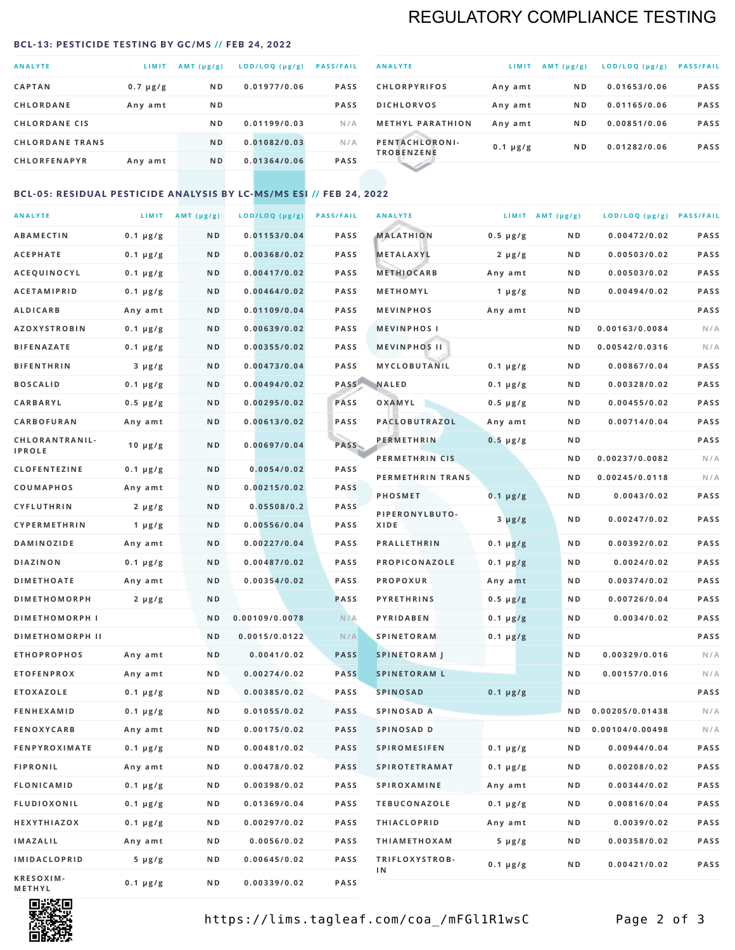## REGULATORY COMPLIANCE TESTING

#### <span id="page-1-0"></span>BCL-13: PESTICIDE TESTING BY GC/MS // FEB 24, 2022

| <b>ANALYTE</b>         | LIMIT         | $AMT(\mu g/g)$ | LOD/LOQ (µg/g) | <b>PASS/FAIL</b> |
|------------------------|---------------|----------------|----------------|------------------|
| <b>CAPTAN</b>          | $0.7 \mu g/g$ | N <sub>D</sub> | 0.01977/0.06   | <b>PASS</b>      |
| <b>CHLORDANE</b>       | Any amt       | N <sub>D</sub> |                | <b>PASS</b>      |
| <b>CHLORDANE CIS</b>   |               | ND.            | 0.01199/0.03   | N/A              |
| <b>CHLORDANE TRANS</b> |               | N <sub>D</sub> | 0.01082/0.03   | N/A              |
| <b>CHLORFENAPYR</b>    | Any amt       | N <sub>D</sub> | 0.01364/0.06   | <b>PASS</b>      |
|                        |               |                |                |                  |

| <b>ANALYTE</b>                      | LIMIT         | $AMT (\mu g/g)$ | LOD/LOQ (µg/g) | <b>PASS/FAIL</b> |
|-------------------------------------|---------------|-----------------|----------------|------------------|
| <b>CHLORPYRIFOS</b>                 | Any amt       | N <sub>D</sub>  | 0.01653/0.06   | <b>PASS</b>      |
| <b>DICHLORVOS</b>                   | Any amt       | N <sub>D</sub>  | 0.01165/0.06   | <b>PASS</b>      |
| <b>METHYL PARATHION</b>             | Any amt       | N <sub>D</sub>  | 0.00851/0.06   | <b>PASS</b>      |
| PENTACHLORONI-<br><b>TROBENZENE</b> | $0.1 \mu g/g$ | N <sub>D</sub>  | 0.01282/0.06   | <b>PASS</b>      |
|                                     |               |                 |                |                  |

### BCL-05: RESIDUAL PESTICIDE ANALYSIS BY LC-MS/MS ESI // FEB 24, 2022

| <b>ANALYTE</b>             |               | LIMIT $AMT(\mu g/g)$ | LOD/LOQ (µg/g) | <b>PASS/FAIL</b> | <b>ANALYTE</b>       |                  | LIMIT AMT $(\mu g/g)$ | LOD/LOQ (µg/g) PASS/FAIL |      |
|----------------------------|---------------|----------------------|----------------|------------------|----------------------|------------------|-----------------------|--------------------------|------|
| <b>ABAMECTIN</b>           | $0.1 \mu g/g$ | N D                  | 0.01153/0.04   | <b>PASS</b>      | <b>MALATHION</b>     | $0.5 \mu g/g$    | N D                   | 0.00472/0.02             | PASS |
| <b>ACEPHATE</b>            | $0.1 \mu g/g$ | N D                  | 0.00368/0.02   | <b>PASS</b>      | <b>METALAXYL</b>     | $2 \mu g/g$      | N D                   | 0.00503/0.02             | PASS |
| ACEQUINOCYL                | $0.1 \mu g/g$ | N D                  | 0.00417/0.02   | <b>PASS</b>      | <b>METHIOCARB</b>    | Any amt          | N D                   | 0.00503/0.02             | PASS |
| <b>ACETAMIPRID</b>         | $0.1 \mu g/g$ | N D                  | 0.00464/0.02   | <b>PASS</b>      | METHOMYL             | 1 $\mu$ g/g      | N D                   | 0.00494/0.02             | PASS |
| <b>ALDICARB</b>            | Any amt       | N D                  | 0.01109/0.04   | <b>PASS</b>      | <b>MEVINPHOS</b>     | Any amt          | N D                   |                          | PASS |
| <b>AZOXYSTROBIN</b>        | $0.1 \mu g/g$ | N D                  | 0.00639/0.02   | <b>PASS</b>      | <b>MEVINPHOSI</b>    |                  | N D                   | 0.00163/0.0084           | N/A  |
| <b>BIFENAZATE</b>          | $0.1 \mu g/g$ | N D                  | 0.00355/0.02   | <b>PASS</b>      | <b>MEVINPHOS II</b>  |                  | N D                   | 0.00542/0.0316           | N/A  |
| <b>BIFENTHRIN</b>          | $3 \mu g/g$   | N D                  | 0.00473/0.04   | <b>PASS</b>      | <b>MYCLOBUTANIL</b>  | $0.1 \mu g/g$    | N D                   | 0.00867/0.04             | PASS |
| <b>BOSCALID</b>            | $0.1 \mu g/g$ | N D                  | 0.00494/0.02   | PASS             | <b>NALED</b>         | $0.1 \mu g/g$    | N D                   | 0.00328/0.02             | PASS |
| CARBARYL                   | $0.5 \mu g/g$ | N D                  | 0.00295/0.02   | PASS             | OXAMYL               | $0.5 \, \mu g/g$ | N D                   | 0.00455/0.02             | PASS |
| CARBOFURAN                 | Any amt       | N D                  | 0.00613/0.02   | <b>PASS</b>      | PACLOBUTRAZOL        | Any amt          | N D                   | 0.00714/0.04             | PASS |
| CHLORANTRANIL-             | $10 \mu g/g$  | N D                  | 0.00697/0.04   | PASS             | <b>PERMETHRIN</b>    | $0.5 \mu g/g$    | N D                   |                          | PASS |
| <b>IPROLE</b>              |               |                      |                |                  | PERMETHRIN CIS       |                  | N D                   | 0.00237/0.0082           | N/A  |
| <b>CLOFENTEZINE</b>        | $0.1 \mu g/g$ | N D                  | 0.0054/0.02    | <b>PASS</b>      | PERMETHRIN TRANS     |                  | N D                   | 0.00245/0.0118           | N/A  |
| <b>COUMAPHOS</b>           | Any amt       | N D                  | 0.00215/0.02   | <b>PASS</b>      | <b>PHOSMET</b>       | $0.1 \, \mu g/g$ | N D                   | 0.0043/0.02              | PASS |
| <b>CYFLUTHRIN</b>          | $2 \mu g/g$   | N D                  | 0.05508/0.2    | <b>PASS</b>      | PIPERONYLBUTO-       | $3 \mu g/g$      | N D                   | 0.00247/0.02             | PASS |
| CYPERMETHRIN               | 1 $\mu$ g/g   | N D                  | 0.00556/0.04   | <b>PASS</b>      | XIDE                 |                  |                       |                          |      |
| <b>DAMINOZIDE</b>          | Any amt       | N D                  | 0.00227/0.04   | <b>PASS</b>      | <b>PRALLETHRIN</b>   | $0.1 \mu g/g$    | N D                   | 0.00392/0.02             | PASS |
| <b>DIAZINON</b>            | $0.1 \mu g/g$ | N D                  | 0.00487/0.02   | <b>PASS</b>      | PROPICONAZOLE        | $0.1 \mu g/g$    | N D                   | 0.0024/0.02              | PASS |
| <b>DIMETHOATE</b>          | Any amt       | N D                  | 0.00354/0.02   | <b>PASS</b>      | <b>PROPOXUR</b>      | Any amt          | N D                   | 0.00374/0.02             | PASS |
| <b>DIMETHOMORPH</b>        | $2 \mu g/g$   | ND                   |                | PASS             | <b>PYRETHRINS</b>    | $0.5 \mu g/g$    | N D                   | 0.00726/0.04             | PASS |
| <b>DIMETHOMORPH I</b>      |               | ND                   | 0.00109/0.0078 | N/A              | <b>PYRIDABEN</b>     | $0.1 \mu g/g$    | N D                   | 0.0034/0.02              | PASS |
| <b>DIMETHOMORPH II</b>     |               | ND                   | 0.0015/0.0122  | N/A              | <b>SPINETORAM</b>    | $0.1 \mu g/g$    | N D                   |                          | PASS |
| <b>ETHOPROPHOS</b>         | Any amt       | N D                  | 0.0041/0.02    | <b>PASS</b>      | <b>SPINETORAM J</b>  |                  | N D                   | 0.00329/0.016            | N/A  |
| <b>ETOFENPROX</b>          | Any amt       | N D                  | 0.00274/0.02   | <b>PASS</b>      | <b>SPINETORAM L</b>  |                  | N D                   | 0.00157/0.016            | N/A  |
| <b>ETOXAZOLE</b>           | $0.1 \mu g/g$ | N D                  | 0.00385/0.02   | <b>PASS</b>      | <b>SPINOSAD</b>      | $0.1 \mu g/g$    | N D                   |                          | PASS |
| <b>FENHEXAMID</b>          | $0.1 \mu g/g$ | N D                  | 0.01055/0.02   | <b>PASS</b>      | SPINOSAD A           |                  | N D                   | 0.00205/0.01438          | N/A  |
| <b>FENOXYCARB</b>          | Any amt       | N D                  | 0.00175/0.02   | <b>PASS</b>      | SPINOSAD D           |                  | ND.                   | 0.00104/0.00498          | N/A  |
| <b>FENPYROXIMATE</b>       | $0.1 \mu g/g$ | N D                  | 0.00481/0.02   | <b>PASS</b>      | <b>SPIROMESIFEN</b>  | $0.1 \, \mu g/g$ | N D                   | 0.00944/0.04             | PASS |
| <b>FIPRONIL</b>            | Any amt       | N D                  | 0.00478/0.02   | PASS             | <b>SPIROTETRAMAT</b> | $0.1 \mu g/g$    | N D                   | 0.00208/0.02             | PASS |
| <b>FLONICAMID</b>          | $0.1 \mu g/g$ | N D                  | 0.00398/0.02   | PASS             | <b>SPIROXAMINE</b>   | Any amt          | N D                   | 0.00344/0.02             | PASS |
| <b>FLUDIOXONIL</b>         | $0.1 \mu g/g$ | N D                  | 0.01369/0.04   | PASS             | <b>TEBUCONAZOLE</b>  | $0.1 \mu g/g$    | N D                   | 0.00816/0.04             | PASS |
| HEXYTHIAZOX                | 0.1 µg/g      | N D                  | 0.00297/0.02   | PASS             | <b>THIACLOPRID</b>   | Any amt          | N D                   | 0.0039/0.02              | PASS |
| <b>IMAZALIL</b>            | Any amt       | N D                  | 0.0056/0.02    | PASS             | <b>THIAMETHOXAM</b>  | $5 \mu g/g$      | N D                   | 0.00358/0.02             | PASS |
| <b>IMIDACLOPRID</b>        | $5 \mu g/g$   | N D                  | 0.00645/0.02   | PASS             | TRIFLOXYSTROB-<br>1N | $0.1 \mu g/g$    | N D                   | 0.00421/0.02             | PASS |
| KRESOXIM-<br><b>METHYL</b> | $0.1 \mu g/g$ | N D                  | 0.00339/0.02   | PASS             |                      |                  |                       |                          |      |